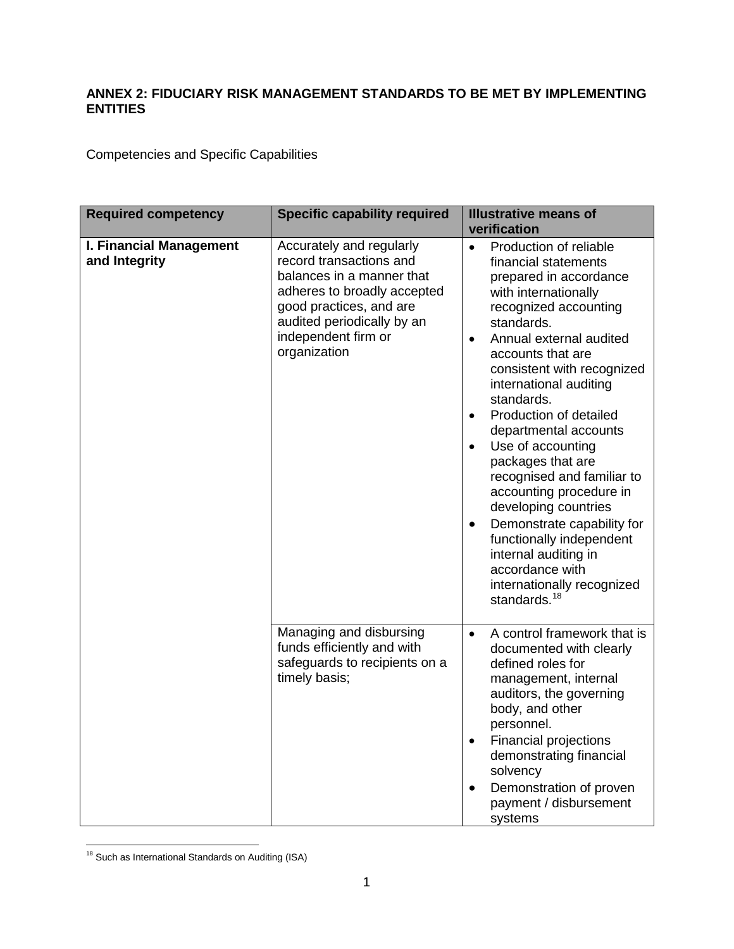## **ANNEX 2: FIDUCIARY RISK MANAGEMENT STANDARDS TO BE MET BY IMPLEMENTING ENTITIES**

Competencies and Specific Capabilities

| <b>Required competency</b>               | <b>Specific capability required</b>                                                                                                                                                                             | <b>Illustrative means of</b><br>verification                                                                                                                                                                                                                                                                                                                                                                                                                                                                                                                                                                                                                                |
|------------------------------------------|-----------------------------------------------------------------------------------------------------------------------------------------------------------------------------------------------------------------|-----------------------------------------------------------------------------------------------------------------------------------------------------------------------------------------------------------------------------------------------------------------------------------------------------------------------------------------------------------------------------------------------------------------------------------------------------------------------------------------------------------------------------------------------------------------------------------------------------------------------------------------------------------------------------|
| I. Financial Management<br>and Integrity | Accurately and regularly<br>record transactions and<br>balances in a manner that<br>adheres to broadly accepted<br>good practices, and are<br>audited periodically by an<br>independent firm or<br>organization | Production of reliable<br>$\bullet$<br>financial statements<br>prepared in accordance<br>with internationally<br>recognized accounting<br>standards.<br>Annual external audited<br>$\bullet$<br>accounts that are<br>consistent with recognized<br>international auditing<br>standards.<br>Production of detailed<br>$\bullet$<br>departmental accounts<br>Use of accounting<br>$\bullet$<br>packages that are<br>recognised and familiar to<br>accounting procedure in<br>developing countries<br>Demonstrate capability for<br>$\bullet$<br>functionally independent<br>internal auditing in<br>accordance with<br>internationally recognized<br>standards. <sup>18</sup> |
|                                          | Managing and disbursing<br>funds efficiently and with<br>safeguards to recipients on a<br>timely basis;                                                                                                         | A control framework that is<br>$\bullet$<br>documented with clearly<br>defined roles for<br>management, internal<br>auditors, the governing<br>body, and other<br>personnel.<br><b>Financial projections</b><br>$\bullet$<br>demonstrating financial<br>solvency<br>Demonstration of proven<br>$\bullet$<br>payment / disbursement<br>systems                                                                                                                                                                                                                                                                                                                               |

<span id="page-0-0"></span>l <sup>18</sup> Such as International Standards on Auditing (ISA)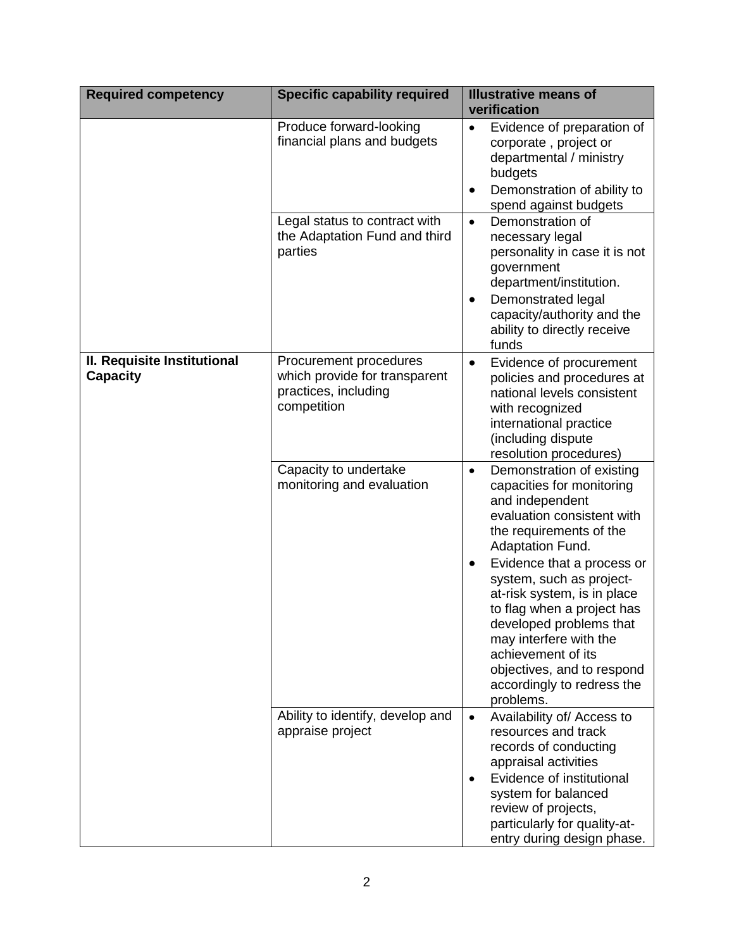| <b>Required competency</b>                     | <b>Specific capability required</b>                                                            | <b>Illustrative means of</b><br>verification                                                                                                                                                                                                                                         |
|------------------------------------------------|------------------------------------------------------------------------------------------------|--------------------------------------------------------------------------------------------------------------------------------------------------------------------------------------------------------------------------------------------------------------------------------------|
|                                                | Produce forward-looking<br>financial plans and budgets                                         | Evidence of preparation of<br>$\bullet$<br>corporate, project or<br>departmental / ministry<br>budgets<br>Demonstration of ability to<br>$\bullet$<br>spend against budgets                                                                                                          |
|                                                | Legal status to contract with<br>the Adaptation Fund and third<br>parties                      | Demonstration of<br>$\bullet$<br>necessary legal<br>personality in case it is not<br>government<br>department/institution.<br>Demonstrated legal<br>capacity/authority and the<br>ability to directly receive<br>funds                                                               |
| II. Requisite Institutional<br><b>Capacity</b> | Procurement procedures<br>which provide for transparent<br>practices, including<br>competition | Evidence of procurement<br>$\bullet$<br>policies and procedures at<br>national levels consistent<br>with recognized<br>international practice<br>(including dispute<br>resolution procedures)                                                                                        |
|                                                | Capacity to undertake<br>monitoring and evaluation                                             | Demonstration of existing<br>$\bullet$<br>capacities for monitoring<br>and independent<br>evaluation consistent with<br>the requirements of the<br><b>Adaptation Fund.</b>                                                                                                           |
|                                                |                                                                                                | Evidence that a process or<br>$\bullet$<br>system, such as project-<br>at-risk system, is in place<br>to flag when a project has<br>developed problems that<br>may interfere with the<br>achievement of its<br>objectives, and to respond<br>accordingly to redress the<br>problems. |
|                                                | Ability to identify, develop and<br>appraise project                                           | Availability of/ Access to<br>$\bullet$<br>resources and track<br>records of conducting<br>appraisal activities<br>Evidence of institutional<br>$\bullet$<br>system for balanced<br>review of projects,<br>particularly for quality-at-<br>entry during design phase.                |